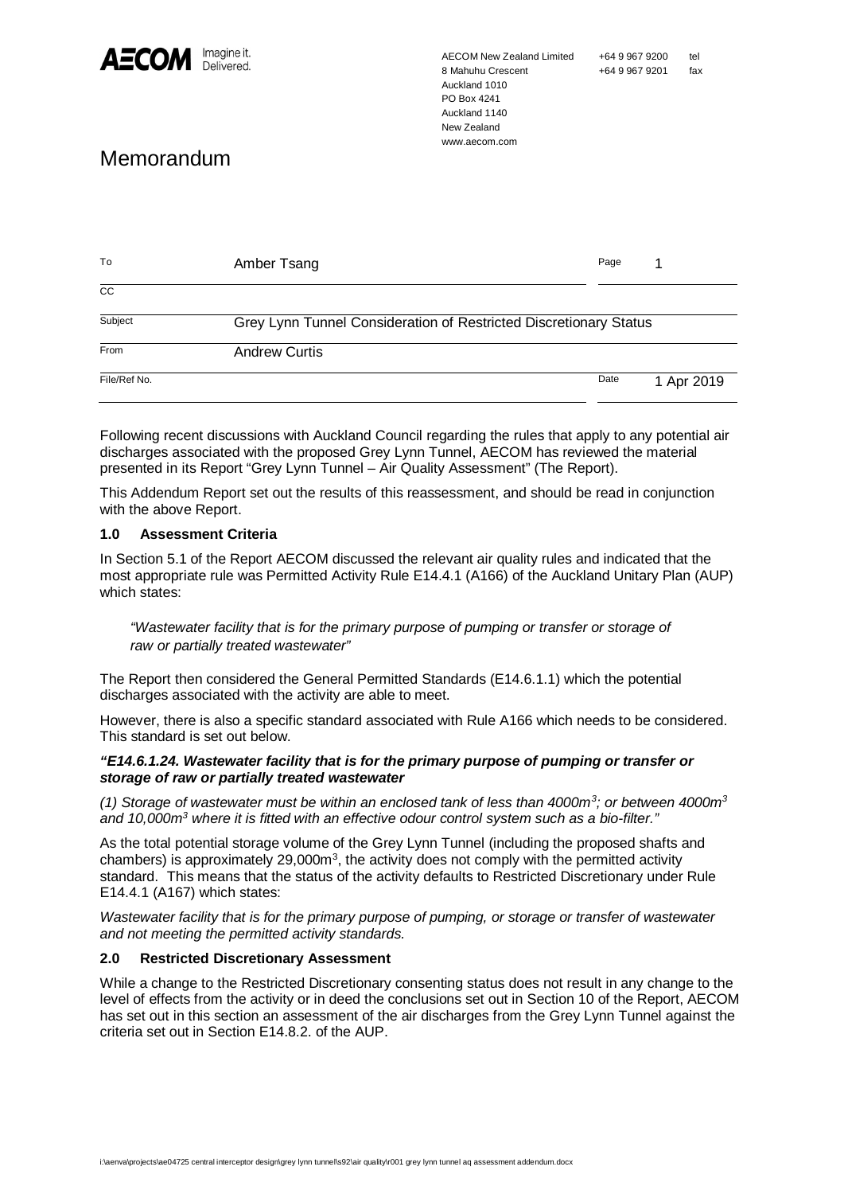

AECOM New Zealand Limited 8 Mahuhu Crescent Auckland 1010 PO Box 4241 Auckland 1140 New Zealand www.aecom.com

# Memorandum

| To              | Amber Tsang                                                       | Page |            |
|-----------------|-------------------------------------------------------------------|------|------------|
| $\overline{cc}$ |                                                                   |      |            |
| Subject         | Grey Lynn Tunnel Consideration of Restricted Discretionary Status |      |            |
| From            | <b>Andrew Curtis</b>                                              |      |            |
| File/Ref No.    |                                                                   | Date | 1 Apr 2019 |

Following recent discussions with Auckland Council regarding the rules that apply to any potential air discharges associated with the proposed Grey Lynn Tunnel, AECOM has reviewed the material presented in its Report "Grey Lynn Tunnel – Air Quality Assessment" (The Report).

This Addendum Report set out the results of this reassessment, and should be read in conjunction with the above Report.

## **1.0 Assessment Criteria**

In Section 5.1 of the Report AECOM discussed the relevant air quality rules and indicated that the most appropriate rule was Permitted Activity Rule E14.4.1 (A166) of the Auckland Unitary Plan (AUP) which states:

*"Wastewater facility that is for the primary purpose of pumping or transfer or storage of raw or partially treated wastewater"*

The Report then considered the General Permitted Standards (E14.6.1.1) which the potential discharges associated with the activity are able to meet.

However, there is also a specific standard associated with Rule A166 which needs to be considered. This standard is set out below.

#### *"E14.6.1.24. Wastewater facility that is for the primary purpose of pumping or transfer or storage of raw or partially treated wastewater*

*(1) Storage of wastewater must be within an enclosed tank of less than 4000m<sup>3</sup> ; or between 4000m<sup>3</sup> and 10,000m<sup>3</sup> where it is fitted with an effective odour control system such as a bio-filter."*

As the total potential storage volume of the Grey Lynn Tunnel (including the proposed shafts and chambers) is approximately 29,000 $m<sup>3</sup>$ , the activity does not comply with the permitted activity standard. This means that the status of the activity defaults to Restricted Discretionary under Rule E14.4.1 (A167) which states:

*Wastewater facility that is for the primary purpose of pumping, or storage or transfer of wastewater and not meeting the permitted activity standards.*

#### **2.0 Restricted Discretionary Assessment**

While a change to the Restricted Discretionary consenting status does not result in any change to the level of effects from the activity or in deed the conclusions set out in Section 10 of the Report, AECOM has set out in this section an assessment of the air discharges from the Grey Lynn Tunnel against the criteria set out in Section E14.8.2. of the AUP.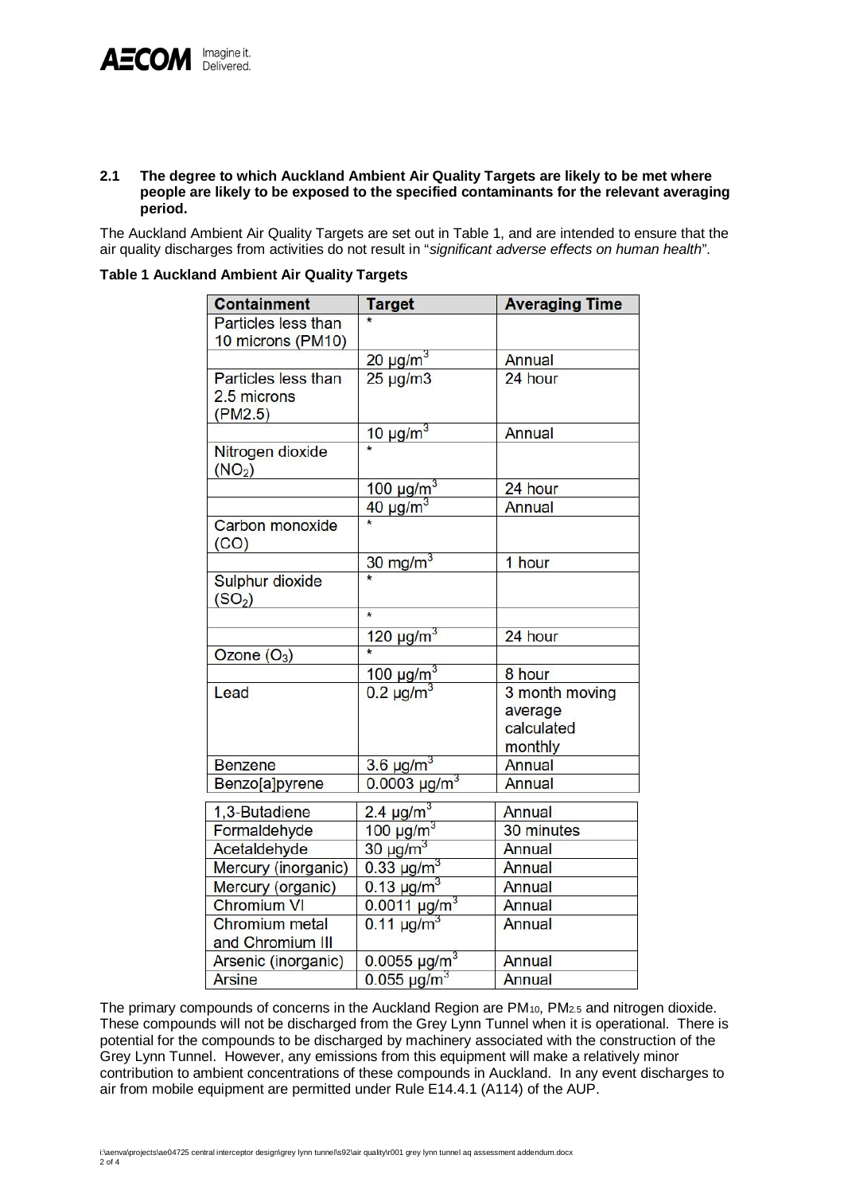#### **2.1 The degree to which Auckland Ambient Air Quality Targets are likely to be met where people are likely to be exposed to the specified contaminants for the relevant averaging period.**

The Auckland Ambient Air Quality Targets are set out in Table 1, and are intended to ensure that the air quality discharges from activities do not result in "*significant adverse effects on human health*".

**Table 1 Auckland Ambient Air Quality Targets**

| <b>Containment</b>                                   | <b>Target</b>              | <b>Averaging Time</b>     |  |
|------------------------------------------------------|----------------------------|---------------------------|--|
| Particles less than<br>10 microns (PM10)             |                            |                           |  |
|                                                      | 20 $\mu$ g/m <sup>3</sup>  | Annual                    |  |
| <b>Particles less than</b><br>2.5 microns<br>(PM2.5) | $25 \mu g/m3$              | 24 hour                   |  |
|                                                      | $10 \mu g/m^3$             | <b>Annual</b>             |  |
| Nitrogen dioxide<br>(NO <sub>2</sub> )               |                            |                           |  |
|                                                      | $100 \mu g/m^3$            | 24 hour                   |  |
|                                                      | $40 \mu g/m^3$             | <b>Annual</b>             |  |
| Carbon monoxide<br>(CO)                              |                            |                           |  |
|                                                      | $30 \text{ mg/m}^3$        | 1 hour                    |  |
| Sulphur dioxide<br>(SO <sub>2</sub> )                |                            |                           |  |
|                                                      | $\star$                    |                           |  |
|                                                      | $120 \mu g/m^3$            | 24 hour                   |  |
| Ozone $(O_3)$                                        |                            |                           |  |
|                                                      | 100 $\mu$ g/m <sup>3</sup> | 8 hour                    |  |
| Lead                                                 | $0.2 \mu g/m^3$            | 3 month moving<br>average |  |
|                                                      |                            | calculated                |  |
|                                                      |                            | monthly                   |  |
| <b>Benzene</b>                                       | $3.6 \mu g/m^3$            | <b>Annual</b>             |  |
| Benzo[a]pyrene                                       | $0.0003 \mu g/m^3$         | <b>Annual</b>             |  |
| 1,3-Butadiene                                        | 2.4 $\mu$ g/m <sup>3</sup> | <b>Annual</b>             |  |
| Formaldehyde                                         | 100 $\mu$ g/m <sup>3</sup> | 30 minutes                |  |
| Acetaldehyde                                         | $30 \mu g/m^3$             | Annual                    |  |
| Mercury (inorganic)                                  | $0.33 \text{ µg/m}^3$      | Annual                    |  |
| Mercury (organic)                                    | $0.13 \,\mu g/m^3$         | <b>Annual</b>             |  |
| <b>Chromium VI</b>                                   | $0.0011 \mu g/m^3$         | Annual                    |  |
| <b>Chromium</b> metal                                | $0.11 \mu g/m^3$           | <b>Annual</b>             |  |
| and Chromium III                                     |                            |                           |  |
| Arsenic (inorganic)                                  | $0.0055 \mu g/m^3$         | Annual                    |  |
| <b>Arsine</b>                                        | $0.055 \,\mu g/m^3$        | <b>Annual</b>             |  |

The primary compounds of concerns in the Auckland Region are PM<sub>10</sub>, PM<sub>2.5</sub> and nitrogen dioxide. These compounds will not be discharged from the Grey Lynn Tunnel when it is operational. There is potential for the compounds to be discharged by machinery associated with the construction of the Grey Lynn Tunnel. However, any emissions from this equipment will make a relatively minor contribution to ambient concentrations of these compounds in Auckland. In any event discharges to air from mobile equipment are permitted under Rule E14.4.1 (A114) of the AUP.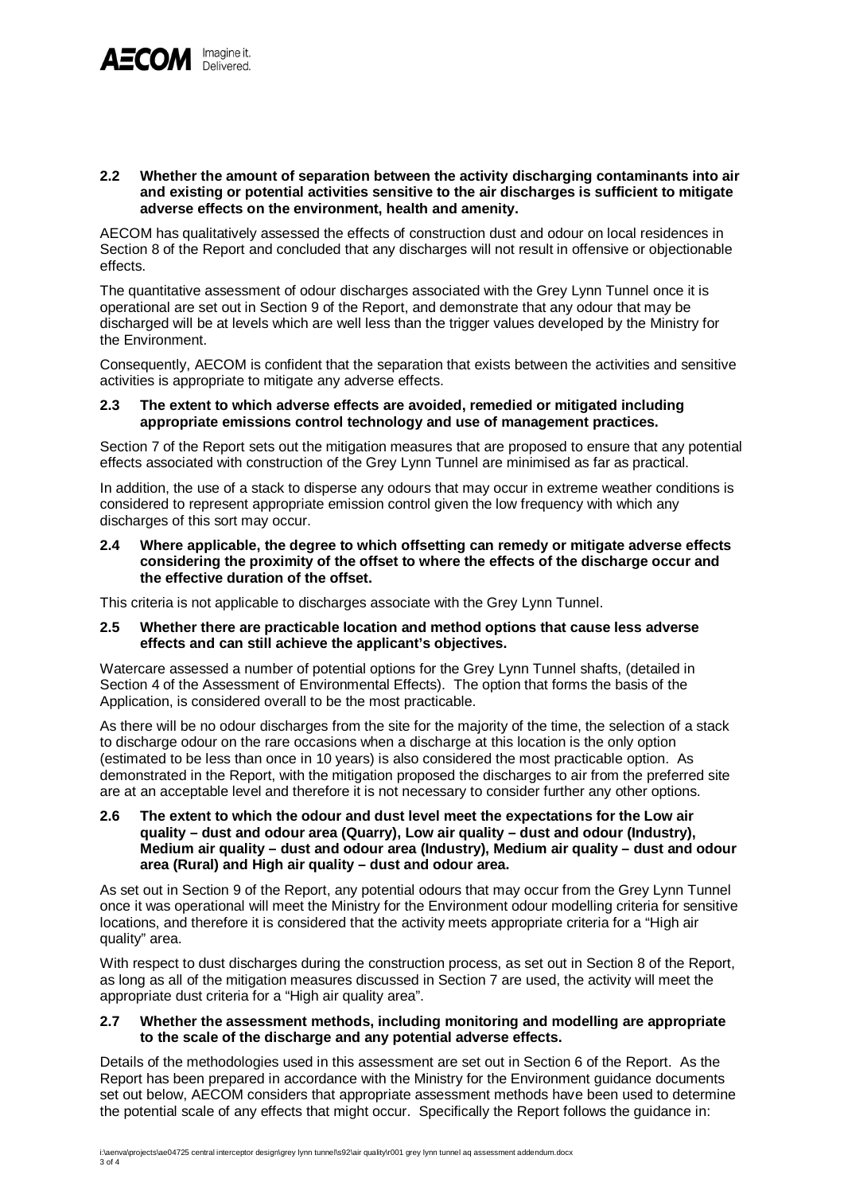

#### **2.2 Whether the amount of separation between the activity discharging contaminants into air and existing or potential activities sensitive to the air discharges is sufficient to mitigate adverse effects on the environment, health and amenity.**

AECOM has qualitatively assessed the effects of construction dust and odour on local residences in Section 8 of the Report and concluded that any discharges will not result in offensive or objectionable effects.

The quantitative assessment of odour discharges associated with the Grey Lynn Tunnel once it is operational are set out in Section 9 of the Report, and demonstrate that any odour that may be discharged will be at levels which are well less than the trigger values developed by the Ministry for the Environment.

Consequently, AECOM is confident that the separation that exists between the activities and sensitive activities is appropriate to mitigate any adverse effects.

#### **2.3 The extent to which adverse effects are avoided, remedied or mitigated including appropriate emissions control technology and use of management practices.**

Section 7 of the Report sets out the mitigation measures that are proposed to ensure that any potential effects associated with construction of the Grey Lynn Tunnel are minimised as far as practical.

In addition, the use of a stack to disperse any odours that may occur in extreme weather conditions is considered to represent appropriate emission control given the low frequency with which any discharges of this sort may occur.

#### **2.4 Where applicable, the degree to which offsetting can remedy or mitigate adverse effects considering the proximity of the offset to where the effects of the discharge occur and the effective duration of the offset.**

This criteria is not applicable to discharges associate with the Grey Lynn Tunnel.

#### **2.5 Whether there are practicable location and method options that cause less adverse effects and can still achieve the applicant's objectives.**

Watercare assessed a number of potential options for the Grey Lynn Tunnel shafts, (detailed in Section 4 of the Assessment of Environmental Effects). The option that forms the basis of the Application, is considered overall to be the most practicable.

As there will be no odour discharges from the site for the majority of the time, the selection of a stack to discharge odour on the rare occasions when a discharge at this location is the only option (estimated to be less than once in 10 years) is also considered the most practicable option. As demonstrated in the Report, with the mitigation proposed the discharges to air from the preferred site are at an acceptable level and therefore it is not necessary to consider further any other options.

### **2.6 The extent to which the odour and dust level meet the expectations for the Low air quality – dust and odour area (Quarry), Low air quality – dust and odour (Industry), Medium air quality – dust and odour area (Industry), Medium air quality – dust and odour area (Rural) and High air quality – dust and odour area.**

As set out in Section 9 of the Report, any potential odours that may occur from the Grey Lynn Tunnel once it was operational will meet the Ministry for the Environment odour modelling criteria for sensitive locations, and therefore it is considered that the activity meets appropriate criteria for a "High air quality" area.

With respect to dust discharges during the construction process, as set out in Section 8 of the Report, as long as all of the mitigation measures discussed in Section 7 are used, the activity will meet the appropriate dust criteria for a "High air quality area".

## **2.7 Whether the assessment methods, including monitoring and modelling are appropriate to the scale of the discharge and any potential adverse effects.**

Details of the methodologies used in this assessment are set out in Section 6 of the Report. As the Report has been prepared in accordance with the Ministry for the Environment guidance documents set out below, AECOM considers that appropriate assessment methods have been used to determine the potential scale of any effects that might occur. Specifically the Report follows the guidance in: